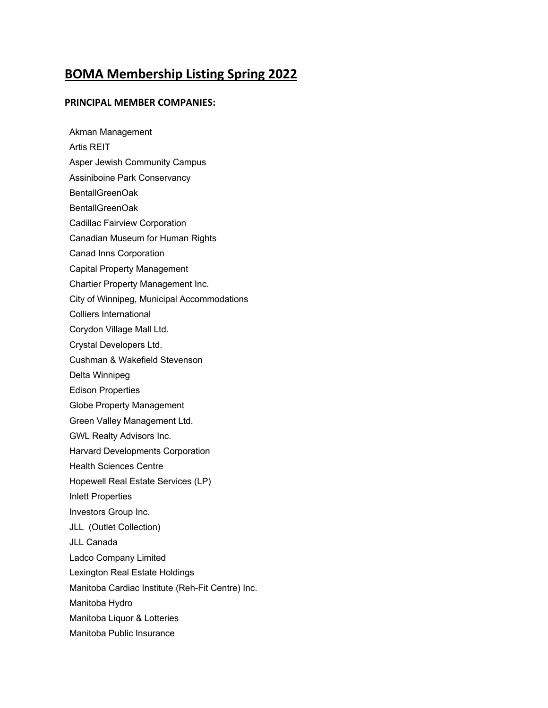## **BOMA Membership Listing Spring 2022**

## **PRINCIPAL MEMBER COMPANIES:**

Akman Management Artis REIT Asper Jewish Community Campus Assiniboine Park Conservancy BentallGreenOak BentallGreenOak Cadillac Fairview Corporation Canadian Museum for Human Rights Canad Inns Corporation Capital Property Management Chartier Property Management Inc. City of Winnipeg, Municipal Accommodations Colliers International Corydon Village Mall Ltd. Crystal Developers Ltd. Cushman & Wakefield Stevenson Delta Winnipeg Edison Properties Globe Property Management Green Valley Management Ltd. GWL Realty Advisors Inc. Harvard Developments Corporation Health Sciences Centre Hopewell Real Estate Services (LP) Inlett Properties Investors Group Inc. JLL (Outlet Collection) JLL Canada Ladco Company Limited Lexington Real Estate Holdings Manitoba Cardiac Institute (Reh-Fit Centre) Inc. Manitoba Hydro Manitoba Liquor & Lotteries Manitoba Public Insurance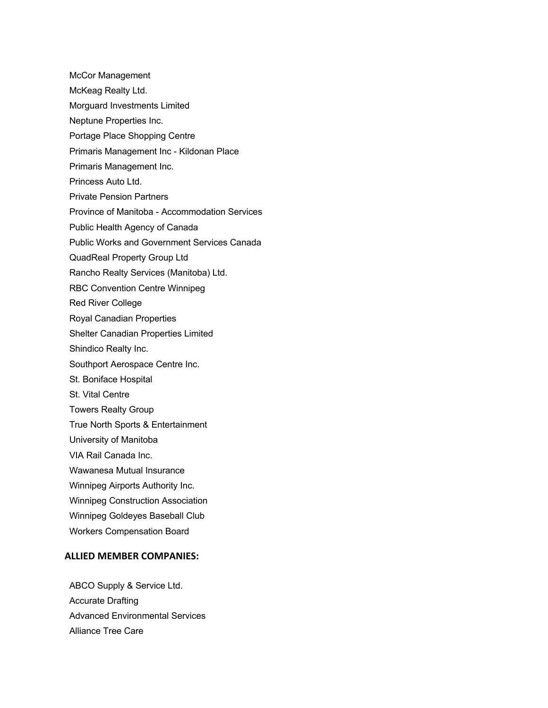McCor Management McKeag Realty Ltd. Morguard Investments Limited Neptune Properties Inc. Portage Place Shopping Centre Primaris Management Inc - Kildonan Place Primaris Management Inc. Princess Auto Ltd. Private Pension Partners Province of Manitoba - Accommodation Services Public Health Agency of Canada Public Works and Government Services Canada QuadReal Property Group Ltd Rancho Realty Services (Manitoba) Ltd. RBC Convention Centre Winnipeg Red River College Royal Canadian Properties Shelter Canadian Properties Limited Shindico Realty Inc. Southport Aerospace Centre Inc. St. Boniface Hospital St. Vital Centre Towers Realty Group True North Sports & Entertainment University of Manitoba VIA Rail Canada Inc. Wawanesa Mutual Insurance Winnipeg Airports Authority Inc. Winnipeg Construction Association Winnipeg Goldeyes Baseball Club Workers Compensation Board

## **ALLIED MEMBER COMPANIES:**

ABCO Supply & Service Ltd. Accurate Drafting Advanced Environmental Services Alliance Tree Care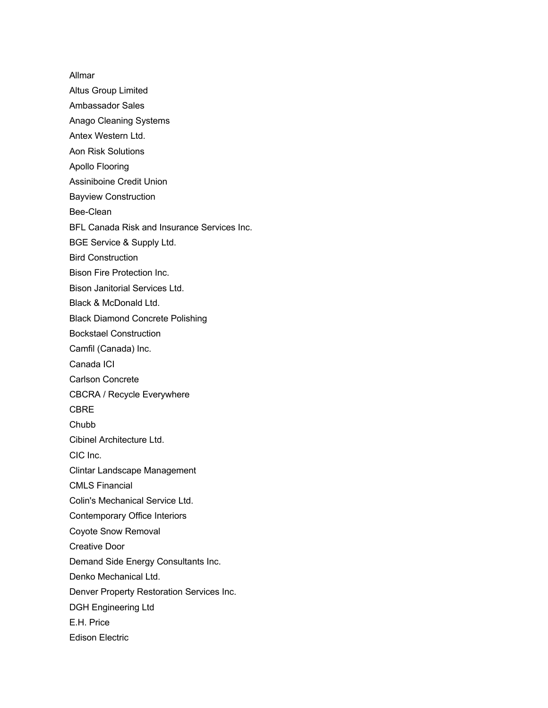Allmar Altus Group Limited Ambassador Sales Anago Cleaning Systems Antex Western Ltd. Aon Risk Solutions Apollo Flooring Assiniboine Credit Union Bayview Construction Bee-Clean BFL Canada Risk and Insurance Services Inc. BGE Service & Supply Ltd. Bird Construction Bison Fire Protection Inc. Bison Janitorial Services Ltd. Black & McDonald Ltd. Black Diamond Concrete Polishing Bockstael Construction Camfil (Canada) Inc. Canada ICI Carlson Concrete CBCRA / Recycle Everywhere CBRE **Chubb** Cibinel Architecture Ltd. CIC Inc. Clintar Landscape Management CMLS Financial Colin's Mechanical Service Ltd. Contemporary Office Interiors Coyote Snow Removal Creative Door Demand Side Energy Consultants Inc. Denko Mechanical Ltd. Denver Property Restoration Services Inc. DGH Engineering Ltd E.H. Price Edison Electric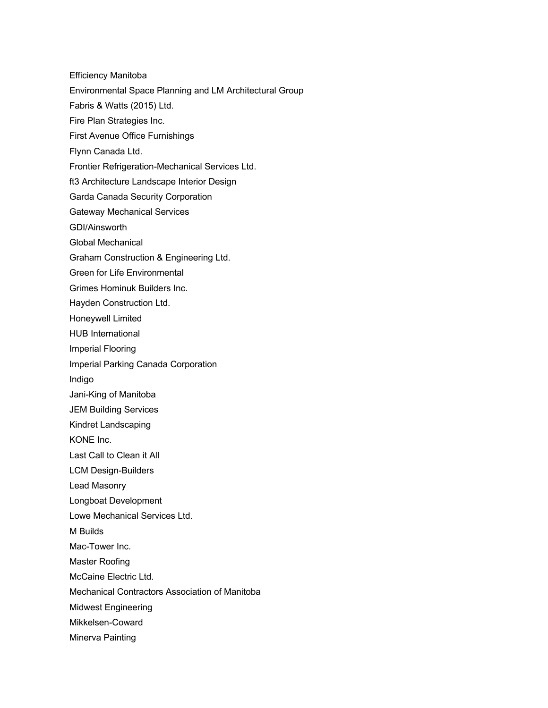Efficiency Manitoba Environmental Space Planning and LM Architectural Group Fabris & Watts (2015) Ltd. Fire Plan Strategies Inc. First Avenue Office Furnishings Flynn Canada Ltd. Frontier Refrigeration-Mechanical Services Ltd. ft3 Architecture Landscape Interior Design Garda Canada Security Corporation Gateway Mechanical Services GDI/Ainsworth Global Mechanical Graham Construction & Engineering Ltd. Green for Life Environmental Grimes Hominuk Builders Inc. Hayden Construction Ltd. Honeywell Limited HUB International Imperial Flooring Imperial Parking Canada Corporation Indigo Jani-King of Manitoba JEM Building Services Kindret Landscaping KONE Inc. Last Call to Clean it All LCM Design-Builders Lead Masonry Longboat Development Lowe Mechanical Services Ltd. M Builds Mac-Tower Inc. Master Roofing McCaine Electric Ltd. Mechanical Contractors Association of Manitoba Midwest Engineering Mikkelsen-Coward Minerva Painting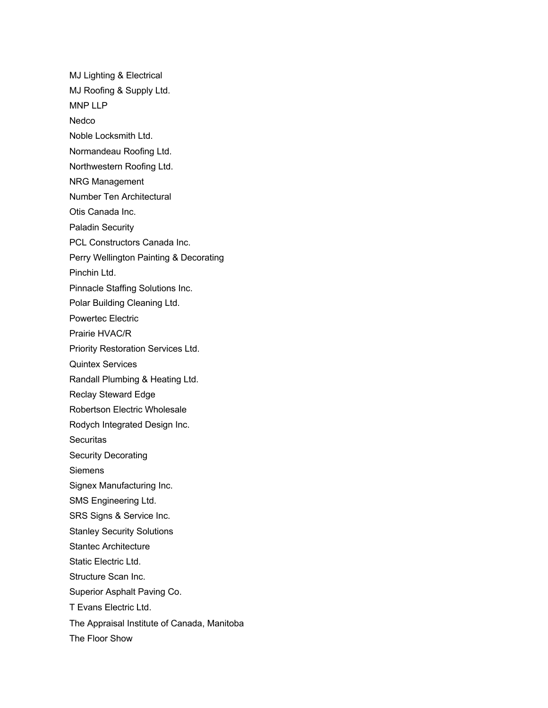MJ Lighting & Electrical MJ Roofing & Supply Ltd. MNP LLP **Nedco** Noble Locksmith Ltd. Normandeau Roofing Ltd. Northwestern Roofing Ltd. NRG Management Number Ten Architectural Otis Canada Inc. Paladin Security PCL Constructors Canada Inc. Perry Wellington Painting & Decorating Pinchin Ltd. Pinnacle Staffing Solutions Inc. Polar Building Cleaning Ltd. Powertec Electric Prairie HVAC/R Priority Restoration Services Ltd. Quintex Services Randall Plumbing & Heating Ltd. Reclay Steward Edge Robertson Electric Wholesale Rodych Integrated Design Inc. **Securitas** Security Decorating **Siemens** Signex Manufacturing Inc. SMS Engineering Ltd. SRS Signs & Service Inc. Stanley Security Solutions Stantec Architecture Static Electric Ltd. Structure Scan Inc. Superior Asphalt Paving Co. T Evans Electric Ltd. The Appraisal Institute of Canada, Manitoba The Floor Show